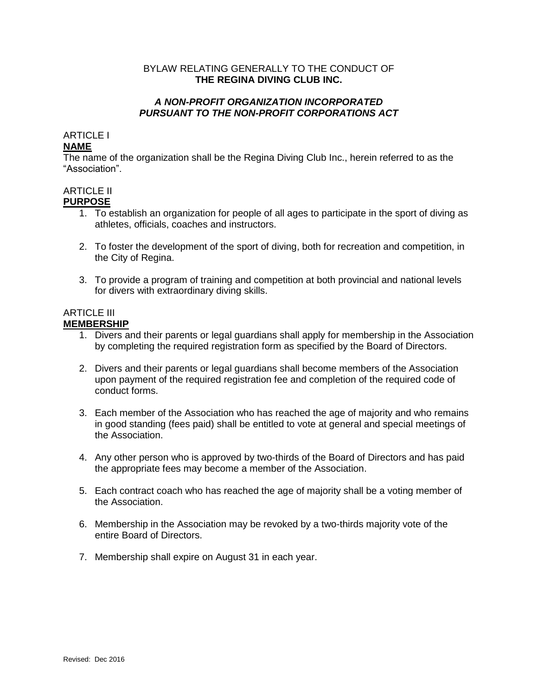### BYLAW RELATING GENERALLY TO THE CONDUCT OF **THE REGINA DIVING CLUB INC.**

## *A NON-PROFIT ORGANIZATION INCORPORATED PURSUANT TO THE NON-PROFIT CORPORATIONS ACT*

# ARTICLE I

### **NAME**

The name of the organization shall be the Regina Diving Club Inc., herein referred to as the "Association".

## **ARTICLE II**

### **PURPOSE**

- 1. To establish an organization for people of all ages to participate in the sport of diving as athletes, officials, coaches and instructors.
- 2. To foster the development of the sport of diving, both for recreation and competition, in the City of Regina.
- 3. To provide a program of training and competition at both provincial and national levels for divers with extraordinary diving skills.

#### ARTICLE III **MEMBERSHIP**

- 1. Divers and their parents or legal guardians shall apply for membership in the Association by completing the required registration form as specified by the Board of Directors.
- 2. Divers and their parents or legal guardians shall become members of the Association upon payment of the required registration fee and completion of the required code of conduct forms.
- 3. Each member of the Association who has reached the age of majority and who remains in good standing (fees paid) shall be entitled to vote at general and special meetings of the Association.
- 4. Any other person who is approved by two-thirds of the Board of Directors and has paid the appropriate fees may become a member of the Association.
- 5. Each contract coach who has reached the age of majority shall be a voting member of the Association.
- 6. Membership in the Association may be revoked by a two-thirds majority vote of the entire Board of Directors.
- 7. Membership shall expire on August 31 in each year.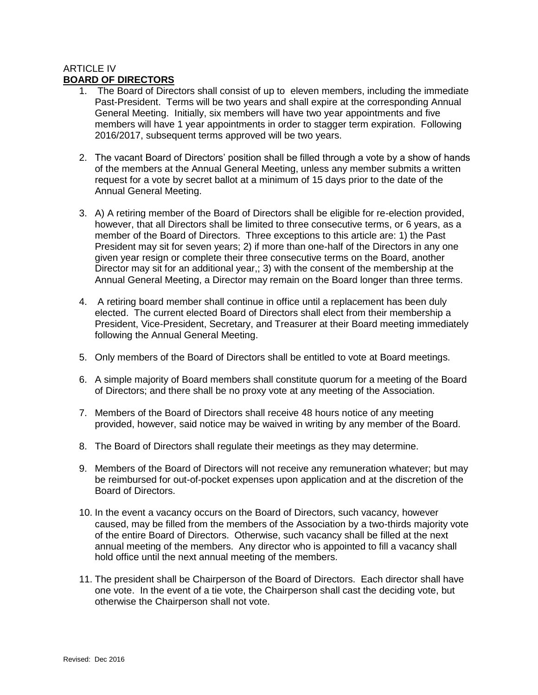### ARTICLE IV **BOARD OF DIRECTORS**

- 1. The Board of Directors shall consist of up to eleven members, including the immediate Past-President. Terms will be two years and shall expire at the corresponding Annual General Meeting. Initially, six members will have two year appointments and five members will have 1 year appointments in order to stagger term expiration. Following 2016/2017, subsequent terms approved will be two years.
- 2. The vacant Board of Directors' position shall be filled through a vote by a show of hands of the members at the Annual General Meeting, unless any member submits a written request for a vote by secret ballot at a minimum of 15 days prior to the date of the Annual General Meeting.
- 3. A) A retiring member of the Board of Directors shall be eligible for re-election provided, however, that all Directors shall be limited to three consecutive terms, or 6 years, as a member of the Board of Directors. Three exceptions to this article are: 1) the Past President may sit for seven years; 2) if more than one-half of the Directors in any one given year resign or complete their three consecutive terms on the Board, another Director may sit for an additional year,; 3) with the consent of the membership at the Annual General Meeting, a Director may remain on the Board longer than three terms.
- 4. A retiring board member shall continue in office until a replacement has been duly elected. The current elected Board of Directors shall elect from their membership a President, Vice-President, Secretary, and Treasurer at their Board meeting immediately following the Annual General Meeting.
- 5. Only members of the Board of Directors shall be entitled to vote at Board meetings.
- 6. A simple majority of Board members shall constitute quorum for a meeting of the Board of Directors; and there shall be no proxy vote at any meeting of the Association.
- 7. Members of the Board of Directors shall receive 48 hours notice of any meeting provided, however, said notice may be waived in writing by any member of the Board.
- 8. The Board of Directors shall regulate their meetings as they may determine.
- 9. Members of the Board of Directors will not receive any remuneration whatever; but may be reimbursed for out-of-pocket expenses upon application and at the discretion of the Board of Directors.
- 10. In the event a vacancy occurs on the Board of Directors, such vacancy, however caused, may be filled from the members of the Association by a two-thirds majority vote of the entire Board of Directors. Otherwise, such vacancy shall be filled at the next annual meeting of the members. Any director who is appointed to fill a vacancy shall hold office until the next annual meeting of the members.
- 11. The president shall be Chairperson of the Board of Directors. Each director shall have one vote. In the event of a tie vote, the Chairperson shall cast the deciding vote, but otherwise the Chairperson shall not vote.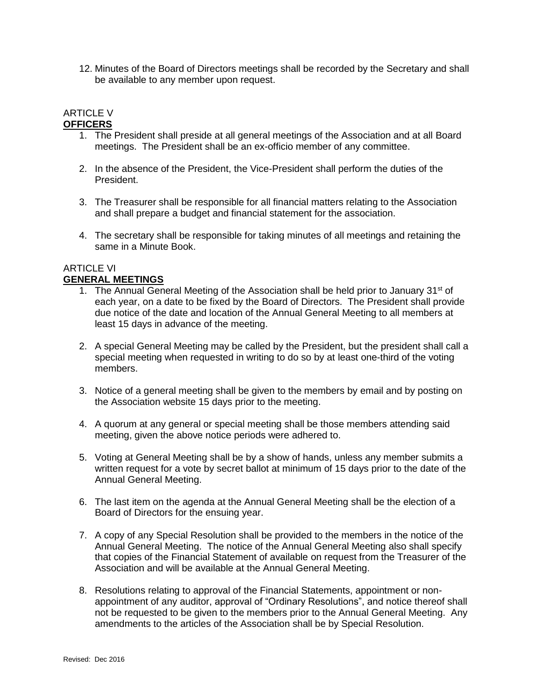12. Minutes of the Board of Directors meetings shall be recorded by the Secretary and shall be available to any member upon request.

#### ARTICLE V **OFFICERS**

- 1. The President shall preside at all general meetings of the Association and at all Board meetings. The President shall be an ex-officio member of any committee.
- 2. In the absence of the President, the Vice-President shall perform the duties of the President.
- 3. The Treasurer shall be responsible for all financial matters relating to the Association and shall prepare a budget and financial statement for the association.
- 4. The secretary shall be responsible for taking minutes of all meetings and retaining the same in a Minute Book.

## ARTICLE VI **GENERAL MEETINGS**

- 1. The Annual General Meeting of the Association shall be held prior to January 31<sup>st</sup> of each year, on a date to be fixed by the Board of Directors. The President shall provide due notice of the date and location of the Annual General Meeting to all members at least 15 days in advance of the meeting.
- 2. A special General Meeting may be called by the President, but the president shall call a special meeting when requested in writing to do so by at least one-third of the voting members.
- 3. Notice of a general meeting shall be given to the members by email and by posting on the Association website 15 days prior to the meeting.
- 4. A quorum at any general or special meeting shall be those members attending said meeting, given the above notice periods were adhered to.
- 5. Voting at General Meeting shall be by a show of hands, unless any member submits a written request for a vote by secret ballot at minimum of 15 days prior to the date of the Annual General Meeting.
- 6. The last item on the agenda at the Annual General Meeting shall be the election of a Board of Directors for the ensuing year.
- 7. A copy of any Special Resolution shall be provided to the members in the notice of the Annual General Meeting. The notice of the Annual General Meeting also shall specify that copies of the Financial Statement of available on request from the Treasurer of the Association and will be available at the Annual General Meeting.
- 8. Resolutions relating to approval of the Financial Statements, appointment or nonappointment of any auditor, approval of "Ordinary Resolutions", and notice thereof shall not be requested to be given to the members prior to the Annual General Meeting. Any amendments to the articles of the Association shall be by Special Resolution.